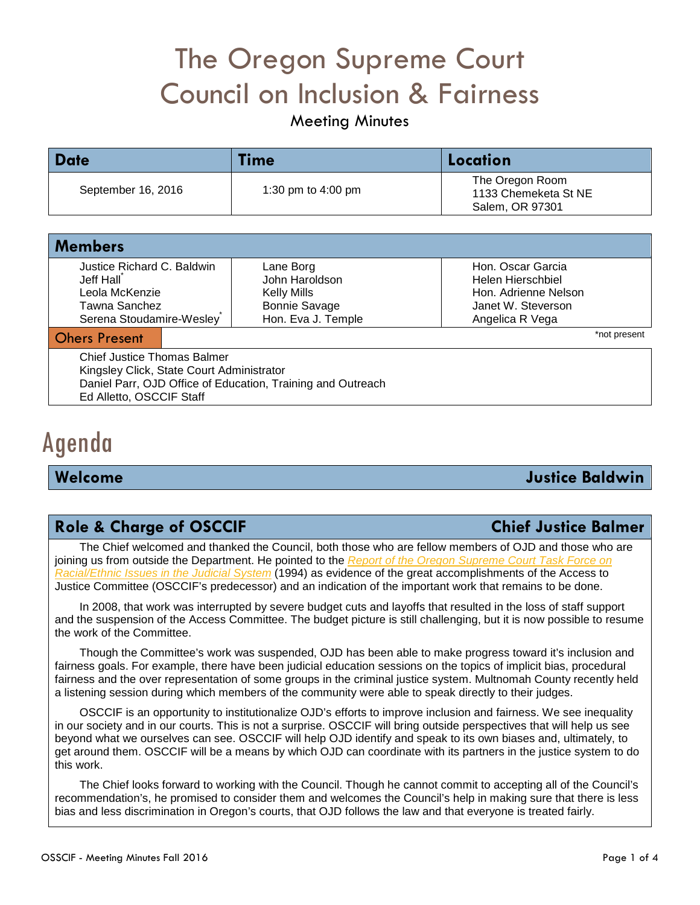# The Oregon Supreme Court Council on Inclusion & Fairness

# Meeting Minutes

| <b>Date</b>        | Time                 | Location                                                   |
|--------------------|----------------------|------------------------------------------------------------|
| September 16, 2016 | 1:30 pm to $4:00$ pm | The Oregon Room<br>1133 Chemeketa St NE<br>Salem, OR 97301 |

| <b>Members</b>             |                      |                      |
|----------------------------|----------------------|----------------------|
| Justice Richard C. Baldwin | Lane Borg            | Hon. Oscar Garcia    |
| Jeff Hall                  | John Haroldson       | Helen Hierschbiel    |
| Leola McKenzie             | <b>Kelly Mills</b>   | Hon. Adrienne Nelson |
| Tawna Sanchez              | <b>Bonnie Savage</b> | Janet W. Steverson   |
| Serena Stoudamire-Wesley   | Hon. Eva J. Temple   | Angelica R Vega      |
| <b>Ohers Present</b>       |                      | *not present         |

Chief Justice Thomas Balmer Kingsley Click, State Court Administrator Daniel Parr, OJD Office of Education, Training and Outreach Ed Alletto, OSCCIF Staff

# Agenda

# **Welcome Justice Baldwin**

# **Role & Charge of OSCCIF Chief Justice Balmer**

The Chief welcomed and thanked the Council, both those who are fellow members of OJD and those who are joining us from outside the Department. He pointed to the *Report of the [Oregon Supreme Court Task Force on](http://courts.oregon.gov/OJD/docs/osca/cpsd/courtimprovement/access/rac_eth_tfr.pdf)  [Racial/Ethnic Issues in the Judicial System](http://courts.oregon.gov/OJD/docs/osca/cpsd/courtimprovement/access/rac_eth_tfr.pdf)* (1994) as evidence of the great accomplishments of the Access to Justice Committee (OSCCIF's predecessor) and an indication of the important work that remains to be done.

In 2008, that work was interrupted by severe budget cuts and layoffs that resulted in the loss of staff support and the suspension of the Access Committee. The budget picture is still challenging, but it is now possible to resume the work of the Committee.

Though the Committee's work was suspended, OJD has been able to make progress toward it's inclusion and fairness goals. For example, there have been judicial education sessions on the topics of implicit bias, procedural fairness and the over representation of some groups in the criminal justice system. Multnomah County recently held a listening session during which members of the community were able to speak directly to their judges.

OSCCIF is an opportunity to institutionalize OJD's efforts to improve inclusion and fairness. We see inequality in our society and in our courts. This is not a surprise. OSCCIF will bring outside perspectives that will help us see beyond what we ourselves can see. OSCCIF will help OJD identify and speak to its own biases and, ultimately, to get around them. OSCCIF will be a means by which OJD can coordinate with its partners in the justice system to do this work.

The Chief looks forward to working with the Council. Though he cannot commit to accepting all of the Council's recommendation's, he promised to consider them and welcomes the Council's help in making sure that there is less bias and less discrimination in Oregon's courts, that OJD follows the law and that everyone is treated fairly.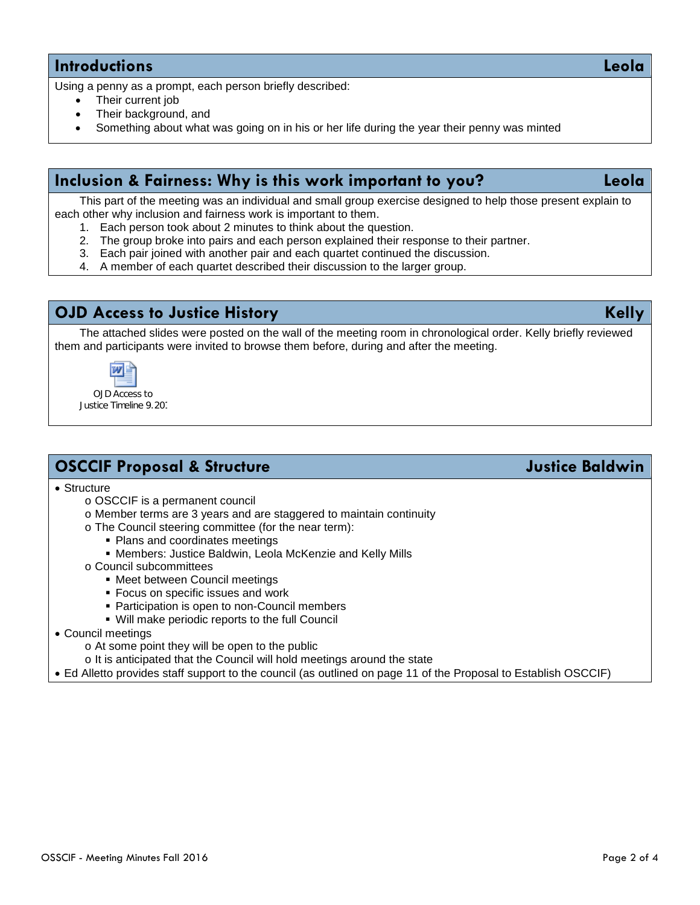# **Introductions Leola**

Using a penny as a prompt, each person briefly described:

- Their current job
- Their background, and
- Something about what was going on in his or her life during the year their penny was minted

# **Inclusion & Fairness: Why is this work important to you? Leola**

This part of the meeting was an individual and small group exercise designed to help those present explain to each other why inclusion and fairness work is important to them.

- 1. Each person took about 2 minutes to think about the question.
- 2. The group broke into pairs and each person explained their response to their partner.
- 3. Each pair joined with another pair and each quartet continued the discussion.
- 4. A member of each quartet described their discussion to the larger group.

# **OJD Access to Justice History Kelly**

The attached slides were posted on the wall of the meeting room in chronological order. Kelly briefly reviewed them and participants were invited to browse them before, during and after the meeting.



OJD Access to Justice Timeline 9.201

# **OSCCIF Proposal & Structure** *Justice Baldwin*

• Structure

- o OSCCIF is a permanent council
- o Member terms are 3 years and are staggered to maintain continuity
- o The Council steering committee (for the near term):
	- Plans and coordinates meetings
	- Members: Justice Baldwin, Leola McKenzie and Kelly Mills
- o Council subcommittees
	- Meet between Council meetings
	- **Focus on specific issues and work**
	- Participation is open to non-Council members
	- Will make periodic reports to the full Council
- Council meetings
	- o At some point they will be open to the public
	- o It is anticipated that the Council will hold meetings around the state

• Ed Alletto provides staff support to the council (as outlined on page 11 of the Proposal to Establish OSCCIF)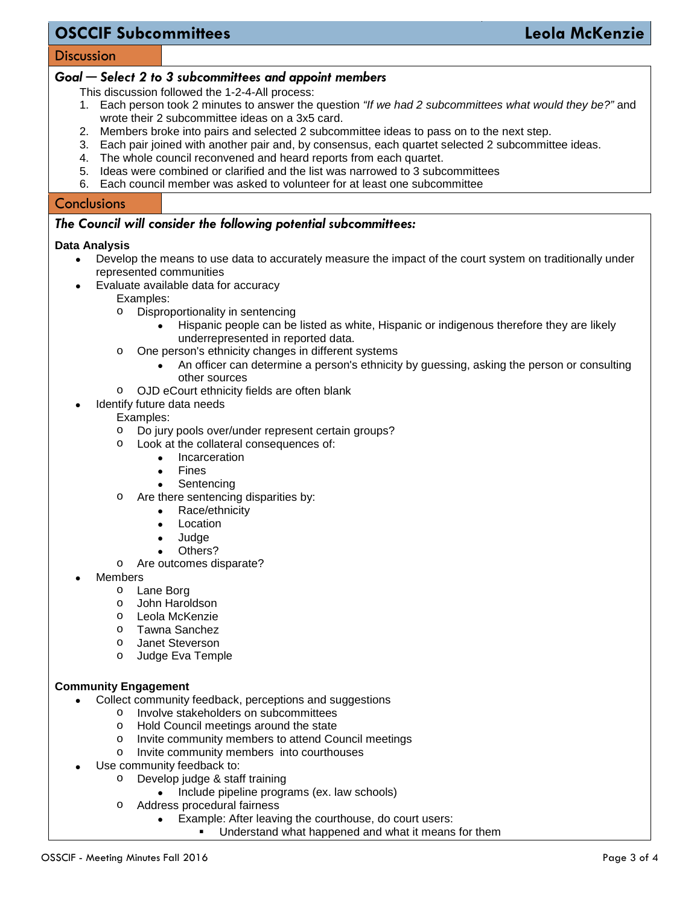# **OSCCIF Subcommittees Leola McKenzie**

### **Discussion**

### *Goal ─ Select 2 to 3 subcommittees and appoint members*

This discussion followed the 1-2-4-All process:

- 1. Each person took 2 minutes to answer the question *"If we had 2 subcommittees what would they be?"* and wrote their 2 subcommittee ideas on a 3x5 card.
- 2. Members broke into pairs and selected 2 subcommittee ideas to pass on to the next step.
- 3. Each pair joined with another pair and, by consensus, each quartet selected 2 subcommittee ideas.
- 4. The whole council reconvened and heard reports from each quartet.
- 5. Ideas were combined or clarified and the list was narrowed to 3 subcommittees
- 6. Each council member was asked to volunteer for at least one subcommittee

### **Conclusions**

### *The Council will consider the following potential subcommittees:*

### **Data Analysis**

- Develop the means to use data to accurately measure the impact of the court system on traditionally under represented communities
- Evaluate available data for accuracy
	- Examples:
	- o Disproportionality in sentencing
		- Hispanic people can be listed as white, Hispanic or indigenous therefore they are likely underrepresented in reported data.
	- o One person's ethnicity changes in different systems
		- An officer can determine a person's ethnicity by guessing, asking the person or consulting other sources
	- o OJD eCourt ethnicity fields are often blank
	- Identify future data needs

### Examples:

- o Do jury pools over/under represent certain groups?
- Look at the collateral consequences of:
	- Incarceration
	- **Fines**
	- **Sentencing**
- o Are there sentencing disparities by:
	- Race/ethnicity
	- **Location**
	- Judge
	- Others?
- o Are outcomes disparate?
- **Members** 
	- o Lane Borg
	- o John Haroldson
	- o Leola McKenzie
	- o Tawna Sanchez
	- o Janet Steverson
	- o Judge Eva Temple

### **Community Engagement**

- Collect community feedback, perceptions and suggestions
	- o Involve stakeholders on subcommittees
	- o Hold Council meetings around the state
	- Invite community members to attend Council meetings<br>○ Invite community members into courthouses
	- Invite community members into courthouses
- Use community feedback to:
	- o Develop judge & staff training
		- Include pipeline programs (ex. law schools)
	- o Address procedural fairness
		- Example: After leaving the courthouse, do court users:
			- Understand what happened and what it means for them